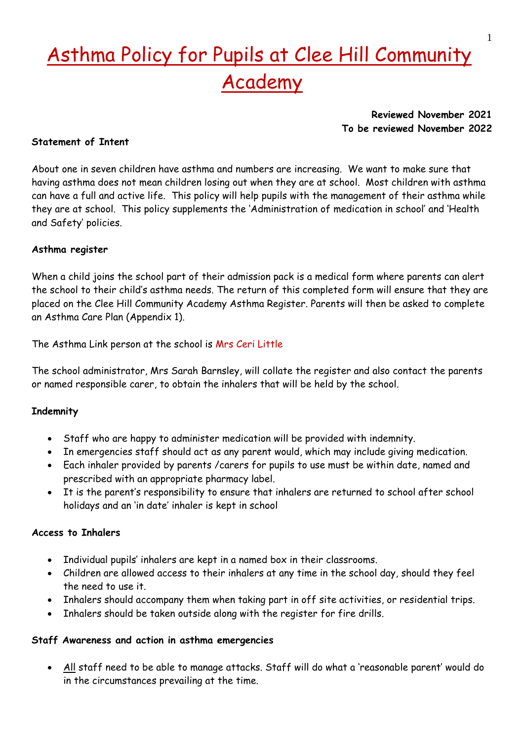# Asthma Policy for Pupils at Clee Hill Community Academy

# **Reviewed November 2021 To be reviewed November 2022**

# **Statement of Intent**

About one in seven children have asthma and numbers are increasing. We want to make sure that having asthma does not mean children losing out when they are at school. Most children with asthma can have a full and active life. This policy will help pupils with the management of their asthma while they are at school. This policy supplements the 'Administration of medication in school' and 'Health and Safety' policies.

# **Asthma register**

When a child joins the school part of their admission pack is a medical form where parents can alert the school to their child's asthma needs. The return of this completed form will ensure that they are placed on the Clee Hill Community Academy Asthma Register. Parents will then be asked to complete an Asthma Care Plan (Appendix 1).

The Asthma Link person at the school is Mrs Ceri Little

The school administrator, Mrs Sarah Barnsley, will collate the register and also contact the parents or named responsible carer, to obtain the inhalers that will be held by the school.

# **Indemnity**

- Staff who are happy to administer medication will be provided with indemnity.
- In emergencies staff should act as any parent would, which may include giving medication.
- Each inhaler provided by parents /carers for pupils to use must be within date, named and prescribed with an appropriate pharmacy label.
- It is the parent's responsibility to ensure that inhalers are returned to school after school holidays and an 'in date' inhaler is kept in school

#### **Access to Inhalers**

- Individual pupils' inhalers are kept in a named box in their classrooms.
- Children are allowed access to their inhalers at any time in the school day, should they feel the need to use it.
- Inhalers should accompany them when taking part in off site activities, or residential trips.
- Inhalers should be taken outside along with the register for fire drills.

#### **Staff Awareness and action in asthma emergencies**

• All staff need to be able to manage attacks. Staff will do what a 'reasonable parent' would do in the circumstances prevailing at the time.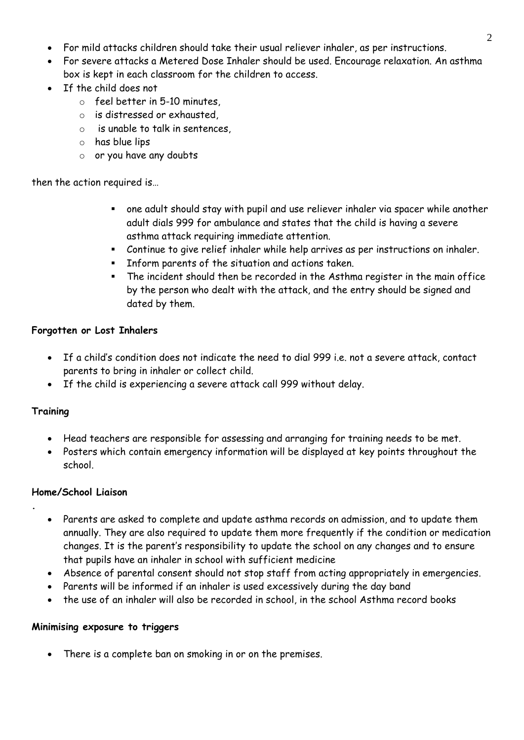- For mild attacks children should take their usual reliever inhaler, as per instructions.
- For severe attacks a Metered Dose Inhaler should be used. Encourage relaxation. An asthma box is kept in each classroom for the children to access.
- If the child does not
	- o feel better in 5-10 minutes,
	- o is distressed or exhausted,
	- o is unable to talk in sentences,
	- o has blue lips
	- o or you have any doubts

then the action required is…

- one adult should stay with pupil and use reliever inhaler via spacer while another adult dials 999 for ambulance and states that the child is having a severe asthma attack requiring immediate attention.
- Continue to give relief inhaler while help arrives as per instructions on inhaler.
- Inform parents of the situation and actions taken.
- The incident should then be recorded in the Asthma register in the main office by the person who dealt with the attack, and the entry should be signed and dated by them.

# **Forgotten or Lost Inhalers**

- If a child's condition does not indicate the need to dial 999 i.e. not a severe attack, contact parents to bring in inhaler or collect child.
- If the child is experiencing a severe attack call 999 without delay.

# **Training**

**.**

- Head teachers are responsible for assessing and arranging for training needs to be met.
- Posters which contain emergency information will be displayed at key points throughout the school.

# **Home/School Liaison**

- Parents are asked to complete and update asthma records on admission, and to update them annually. They are also required to update them more frequently if the condition or medication changes. It is the parent's responsibility to update the school on any changes and to ensure that pupils have an inhaler in school with sufficient medicine
- Absence of parental consent should not stop staff from acting appropriately in emergencies.
- Parents will be informed if an inhaler is used excessively during the day band
- the use of an inhaler will also be recorded in school, in the school Asthma record books

# **Minimising exposure to triggers**

• There is a complete ban on smoking in or on the premises.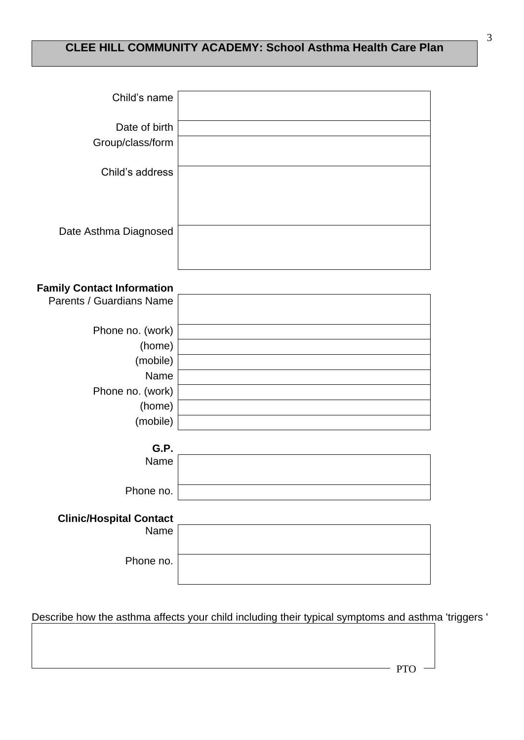# **CLEE HILL COMMUNITY ACADEMY: School Asthma Health Care Plan**

| Child's name                      |  |
|-----------------------------------|--|
| Date of birth<br>Group/class/form |  |
| Child's address                   |  |
|                                   |  |
| Date Asthma Diagnosed             |  |
|                                   |  |

# **Family Contact Information**

| Phone no. (work)<br>(home)<br>(mobile)<br>Name<br>Phone no. (work)<br>(home)<br>(mobile) | Parents / Guardians Name |  |
|------------------------------------------------------------------------------------------|--------------------------|--|
|                                                                                          |                          |  |
|                                                                                          |                          |  |
|                                                                                          |                          |  |
|                                                                                          |                          |  |
|                                                                                          |                          |  |
|                                                                                          |                          |  |
|                                                                                          |                          |  |

| G.P.      |  |
|-----------|--|
| Name      |  |
|           |  |
|           |  |
| Phone no. |  |
|           |  |

# **Clinic/Hospital Contact** Name Phone no.

Describe how the asthma affects your child including their typical symptoms and asthma 'triggers '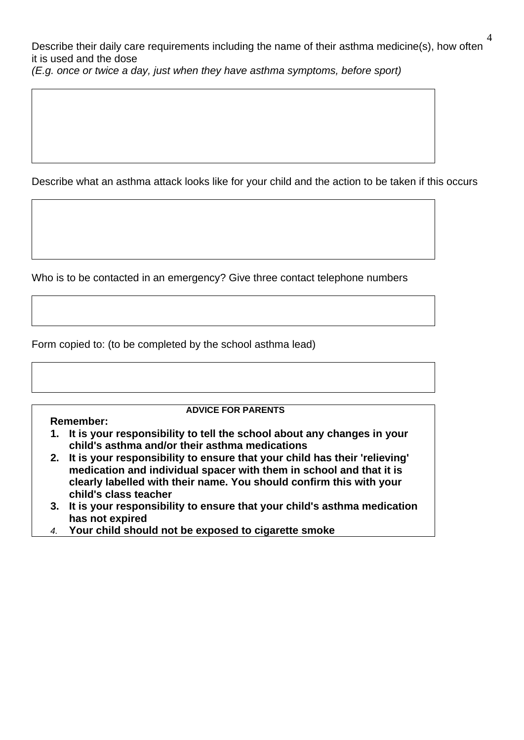Describe their daily care requirements including the name of their asthma medicine(s), how often it is used and the dose *(E.g. once or twice a day, just when they have asthma symptoms, before sport)*

Describe what an asthma attack looks like for your child and the action to be taken if this occurs

Who is to be contacted in an emergency? Give three contact telephone numbers

Form copied to: (to be completed by the school asthma lead)

**Remember:**

# **ADVICE FOR PARENTS**

- **1. It is your responsibility to tell the school about any changes in your child's asthma and/or their asthma medications**
- **2. It is your responsibility to ensure that your child has their 'relieving' medication and individual spacer with them in school and that it is clearly labelled with their name. You should confirm this with your child's class teacher**
- **3. It is your responsibility to ensure that your child's asthma medication has not expired**
- *4.* **Your child should not be exposed to cigarette smoke**